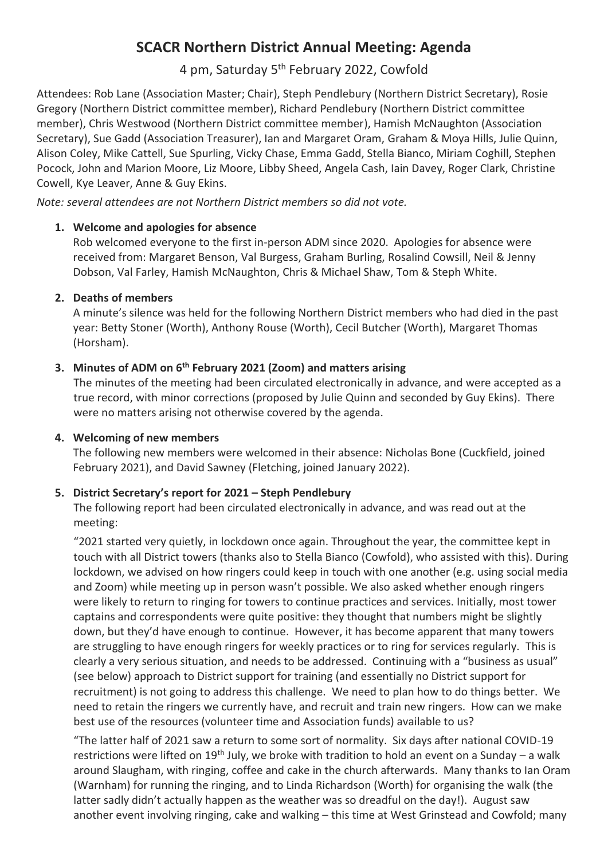# **SCACR Northern District Annual Meeting: Agenda**

## 4 pm, Saturday 5<sup>th</sup> February 2022, Cowfold

Attendees: Rob Lane (Association Master; Chair), Steph Pendlebury (Northern District Secretary), Rosie Gregory (Northern District committee member), Richard Pendlebury (Northern District committee member), Chris Westwood (Northern District committee member), Hamish McNaughton (Association Secretary), Sue Gadd (Association Treasurer), Ian and Margaret Oram, Graham & Moya Hills, Julie Quinn, Alison Coley, Mike Cattell, Sue Spurling, Vicky Chase, Emma Gadd, Stella Bianco, Miriam Coghill, Stephen Pocock, John and Marion Moore, Liz Moore, Libby Sheed, Angela Cash, Iain Davey, Roger Clark, Christine Cowell, Kye Leaver, Anne & Guy Ekins.

*Note: several attendees are not Northern District members so did not vote.*

#### **1. Welcome and apologies for absence**

Rob welcomed everyone to the first in-person ADM since 2020. Apologies for absence were received from: Margaret Benson, Val Burgess, Graham Burling, Rosalind Cowsill, Neil & Jenny Dobson, Val Farley, Hamish McNaughton, Chris & Michael Shaw, Tom & Steph White.

#### **2. Deaths of members**

A minute's silence was held for the following Northern District members who had died in the past year: Betty Stoner (Worth), Anthony Rouse (Worth), Cecil Butcher (Worth), Margaret Thomas (Horsham).

## **3. Minutes of ADM on 6 th February 2021 (Zoom) and matters arising**

The minutes of the meeting had been circulated electronically in advance, and were accepted as a true record, with minor corrections (proposed by Julie Quinn and seconded by Guy Ekins). There were no matters arising not otherwise covered by the agenda.

#### **4. Welcoming of new members**

The following new members were welcomed in their absence: Nicholas Bone (Cuckfield, joined February 2021), and David Sawney (Fletching, joined January 2022).

## **5. District Secretary's report for 2021 – Steph Pendlebury**

The following report had been circulated electronically in advance, and was read out at the meeting:

"2021 started very quietly, in lockdown once again. Throughout the year, the committee kept in touch with all District towers (thanks also to Stella Bianco (Cowfold), who assisted with this). During lockdown, we advised on how ringers could keep in touch with one another (e.g. using social media and Zoom) while meeting up in person wasn't possible. We also asked whether enough ringers were likely to return to ringing for towers to continue practices and services. Initially, most tower captains and correspondents were quite positive: they thought that numbers might be slightly down, but they'd have enough to continue. However, it has become apparent that many towers are struggling to have enough ringers for weekly practices or to ring for services regularly. This is clearly a very serious situation, and needs to be addressed. Continuing with a "business as usual" (see below) approach to District support for training (and essentially no District support for recruitment) is not going to address this challenge. We need to plan how to do things better. We need to retain the ringers we currently have, and recruit and train new ringers. How can we make best use of the resources (volunteer time and Association funds) available to us?

"The latter half of 2021 saw a return to some sort of normality. Six days after national COVID-19 restrictions were lifted on 19<sup>th</sup> July, we broke with tradition to hold an event on a Sunday – a walk around Slaugham, with ringing, coffee and cake in the church afterwards. Many thanks to Ian Oram (Warnham) for running the ringing, and to Linda Richardson (Worth) for organising the walk (the latter sadly didn't actually happen as the weather was so dreadful on the day!). August saw another event involving ringing, cake and walking – this time at West Grinstead and Cowfold; many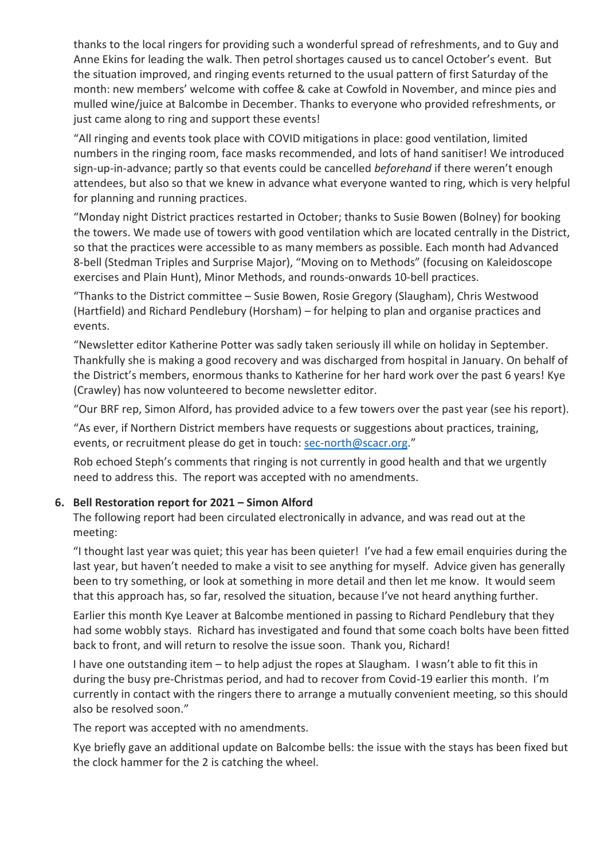thanks to the local ringers for providing such a wonderful spread of refreshments, and to Guy and Anne Ekins for leading the walk. Then petrol shortages caused us to cancel October's event. But the situation improved, and ringing events returned to the usual pattern of first Saturday of the month: new members' welcome with coffee & cake at Cowfold in November, and mince pies and mulled wine/juice at Balcombe in December. Thanks to everyone who provided refreshments, or just came along to ring and support these events!

"All ringing and events took place with COVID mitigations in place: good ventilation, limited numbers in the ringing room, face masks recommended, and lots of hand sanitiser! We introduced sign-up-in-advance; partly so that events could be cancelled *beforehand* if there weren't enough attendees, but also so that we knew in advance what everyone wanted to ring, which is very helpful for planning and running practices.

"Monday night District practices restarted in October; thanks to Susie Bowen (Bolney) for booking the towers. We made use of towers with good ventilation which are located centrally in the District, so that the practices were accessible to as many members as possible. Each month had Advanced 8-bell (Stedman Triples and Surprise Major), "Moving on to Methods" (focusing on Kaleidoscope exercises and Plain Hunt), Minor Methods, and rounds-onwards 10-bell practices.

"Thanks to the District committee – Susie Bowen, Rosie Gregory (Slaugham), Chris Westwood (Hartfield) and Richard Pendlebury (Horsham) – for helping to plan and organise practices and events.

"Newsletter editor Katherine Potter was sadly taken seriously ill while on holiday in September. Thankfully she is making a good recovery and was discharged from hospital in January. On behalf of the District's members, enormous thanks to Katherine for her hard work over the past 6 years! Kye (Crawley) has now volunteered to become newsletter editor.

"Our BRF rep, Simon Alford, has provided advice to a few towers over the past year (see his report).

"As ever, if Northern District members have requests or suggestions about practices, training, events, or recruitment please do get in touch: [sec-north@scacr.org.](mailto:sec-north@scacr.org)"

Rob echoed Steph's comments that ringing is not currently in good health and that we urgently need to address this. The report was accepted with no amendments.

#### **6. Bell Restoration report for 2021 – Simon Alford**

The following report had been circulated electronically in advance, and was read out at the meeting:

"I thought last year was quiet; this year has been quieter! I've had a few email enquiries during the last year, but haven't needed to make a visit to see anything for myself. Advice given has generally been to try something, or look at something in more detail and then let me know. It would seem that this approach has, so far, resolved the situation, because I've not heard anything further.

Earlier this month Kye Leaver at Balcombe mentioned in passing to Richard Pendlebury that they had some wobbly stays. Richard has investigated and found that some coach bolts have been fitted back to front, and will return to resolve the issue soon. Thank you, Richard!

I have one outstanding item – to help adjust the ropes at Slaugham. I wasn't able to fit this in during the busy pre-Christmas period, and had to recover from Covid-19 earlier this month. I'm currently in contact with the ringers there to arrange a mutually convenient meeting, so this should also be resolved soon."

The report was accepted with no amendments.

Kye briefly gave an additional update on Balcombe bells: the issue with the stays has been fixed but the clock hammer for the 2 is catching the wheel.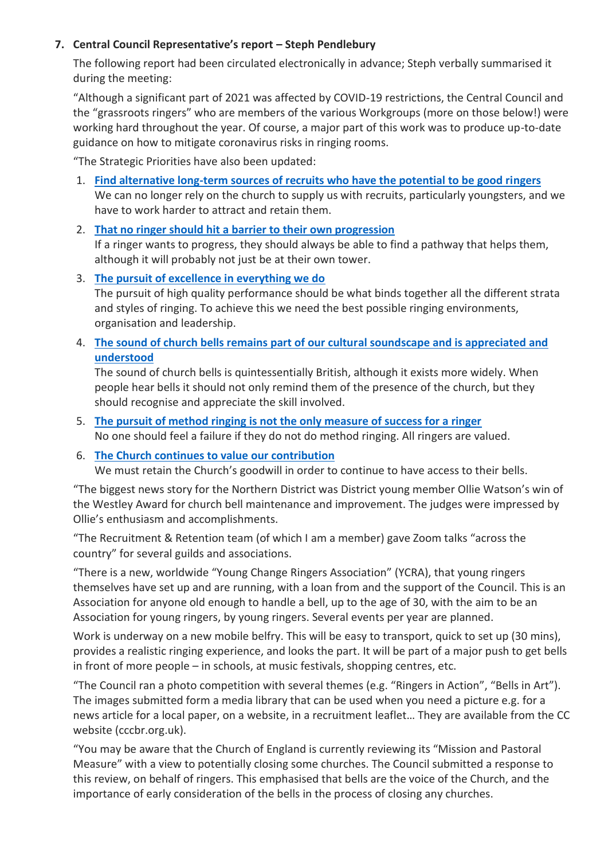#### **7. Central Council Representative's report – Steph Pendlebury**

The following report had been circulated electronically in advance; Steph verbally summarised it during the meeting:

"Although a significant part of 2021 was affected by COVID-19 restrictions, the Central Council and the "grassroots ringers" who are members of the various Workgroups (more on those below!) were working hard throughout the year. Of course, a major part of this work was to produce up-to-date guidance on how to mitigate coronavirus risks in ringing rooms.

"The Strategic Priorities have also been updated:

- 1. **[Find alternative long-term sources of recruits who have the potential to be good ringers](https://cccbr.org.uk/strategic-priorities-2020-and-beyond/#P1)** We can no longer rely on the church to supply us with recruits, particularly youngsters, and we have to work harder to attract and retain them.
- 2. **[That no ringer should hit a barrier to their own progression](https://cccbr.org.uk/strategic-priorities-2020-and-beyond/#P2)**

If a ringer wants to progress, they should always be able to find a pathway that helps them, although it will probably not just be at their own tower.

3. **[The pursuit of excellence in everything we do](https://cccbr.org.uk/strategic-priorities-2020-and-beyond/#P3)**

The pursuit of high quality performance should be what binds together all the different strata and styles of ringing. To achieve this we need the best possible ringing environments, organisation and leadership.

4. **[The sound of church bells remains part of our cultural soundscape and is appreciated and](https://cccbr.org.uk/strategic-priorities-2020-and-beyond/#P4)  [understood](https://cccbr.org.uk/strategic-priorities-2020-and-beyond/#P4)**

The sound of church bells is quintessentially British, although it exists more widely. When people hear bells it should not only remind them of the presence of the church, but they should recognise and appreciate the skill involved.

- 5. **[The pursuit of method ringing is not the only measure of success for a ringer](https://cccbr.org.uk/strategic-priorities-2020-and-beyond/#P5)** No one should feel a failure if they do not do method ringing. All ringers are valued.
- 6. **[The Church continues to value our contribution](https://cccbr.org.uk/strategic-priorities-2020-and-beyond/#P6)** We must retain the Church's goodwill in order to continue to have access to their bells.

"The biggest news story for the Northern District was District young member Ollie Watson's win of the Westley Award for church bell maintenance and improvement. The judges were impressed by Ollie's enthusiasm and accomplishments.

"The Recruitment & Retention team (of which I am a member) gave Zoom talks "across the country" for several guilds and associations.

"There is a new, worldwide "Young Change Ringers Association" (YCRA), that young ringers themselves have set up and are running, with a loan from and the support of the Council. This is an Association for anyone old enough to handle a bell, up to the age of 30, with the aim to be an Association for young ringers, by young ringers. Several events per year are planned.

Work is underway on a new mobile belfry. This will be easy to transport, quick to set up (30 mins), provides a realistic ringing experience, and looks the part. It will be part of a major push to get bells in front of more people – in schools, at music festivals, shopping centres, etc.

"The Council ran a photo competition with several themes (e.g. "Ringers in Action", "Bells in Art"). The images submitted form a media library that can be used when you need a picture e.g. for a news article for a local paper, on a website, in a recruitment leaflet… They are available from the CC website (cccbr.org.uk).

"You may be aware that the Church of England is currently reviewing its "Mission and Pastoral Measure" with a view to potentially closing some churches. The Council submitted a response to this review, on behalf of ringers. This emphasised that bells are the voice of the Church, and the importance of early consideration of the bells in the process of closing any churches.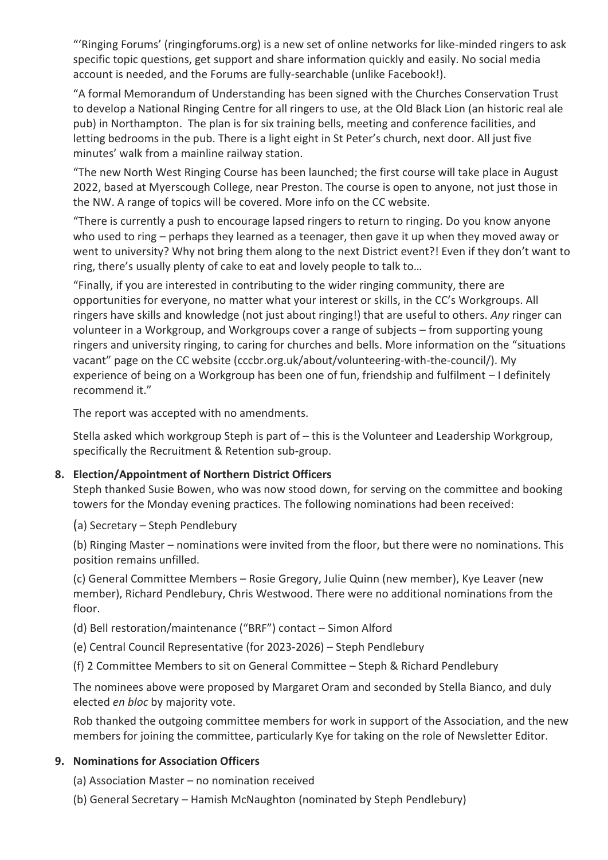"'Ringing Forums' (ringingforums.org) is a new set of online networks for like-minded ringers to ask specific topic questions, get support and share information quickly and easily. No social media account is needed, and the Forums are fully-searchable (unlike Facebook!).

"A formal Memorandum of Understanding has been signed with the Churches Conservation Trust to develop a National Ringing Centre for all ringers to use, at the Old Black Lion (an historic real ale pub) in Northampton. The plan is for six training bells, meeting and conference facilities, and letting bedrooms in the pub. There is a light eight in St Peter's church, next door. All just five minutes' walk from a mainline railway station.

"The new North West Ringing Course has been launched; the first course will take place in August 2022, based at Myerscough College, near Preston. The course is open to anyone, not just those in the NW. A range of topics will be covered. More info on the CC website.

"There is currently a push to encourage lapsed ringers to return to ringing. Do you know anyone who used to ring – perhaps they learned as a teenager, then gave it up when they moved away or went to university? Why not bring them along to the next District event?! Even if they don't want to ring, there's usually plenty of cake to eat and lovely people to talk to…

"Finally, if you are interested in contributing to the wider ringing community, there are opportunities for everyone, no matter what your interest or skills, in the CC's Workgroups. All ringers have skills and knowledge (not just about ringing!) that are useful to others. *Any* ringer can volunteer in a Workgroup, and Workgroups cover a range of subjects – from supporting young ringers and university ringing, to caring for churches and bells. More information on the "situations vacant" page on the CC website (cccbr.org.uk/about/volunteering-with-the-council/). My experience of being on a Workgroup has been one of fun, friendship and fulfilment – I definitely recommend it."

The report was accepted with no amendments.

Stella asked which workgroup Steph is part of – this is the Volunteer and Leadership Workgroup, specifically the Recruitment & Retention sub-group.

#### **8. Election/Appointment of Northern District Officers**

Steph thanked Susie Bowen, who was now stood down, for serving on the committee and booking towers for the Monday evening practices. The following nominations had been received:

(a) Secretary – Steph Pendlebury

(b) Ringing Master – nominations were invited from the floor, but there were no nominations. This position remains unfilled.

(c) General Committee Members – Rosie Gregory, Julie Quinn (new member), Kye Leaver (new member), Richard Pendlebury, Chris Westwood. There were no additional nominations from the floor.

- (d) Bell restoration/maintenance ("BRF") contact Simon Alford
- (e) Central Council Representative (for 2023-2026) Steph Pendlebury
- (f) 2 Committee Members to sit on General Committee Steph & Richard Pendlebury

The nominees above were proposed by Margaret Oram and seconded by Stella Bianco, and duly elected *en bloc* by majority vote.

Rob thanked the outgoing committee members for work in support of the Association, and the new members for joining the committee, particularly Kye for taking on the role of Newsletter Editor.

## **9. Nominations for Association Officers**

- (a) Association Master no nomination received
- (b) General Secretary Hamish McNaughton (nominated by Steph Pendlebury)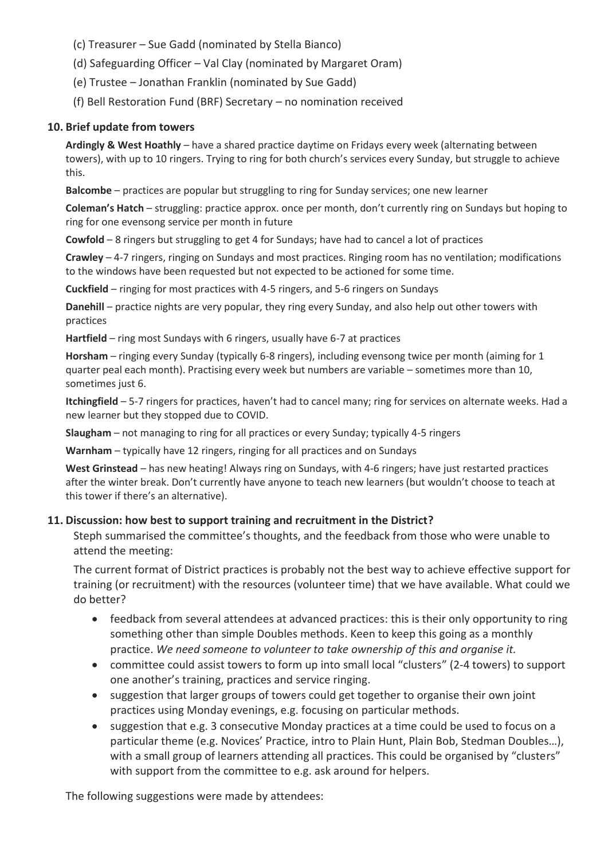- (c) Treasurer Sue Gadd (nominated by Stella Bianco)
- (d) Safeguarding Officer Val Clay (nominated by Margaret Oram)
- (e) Trustee Jonathan Franklin (nominated by Sue Gadd)
- (f) Bell Restoration Fund (BRF) Secretary no nomination received

#### **10. Brief update from towers**

**Ardingly & West Hoathly** – have a shared practice daytime on Fridays every week (alternating between towers), with up to 10 ringers. Trying to ring for both church's services every Sunday, but struggle to achieve this.

**Balcombe** – practices are popular but struggling to ring for Sunday services; one new learner

**Coleman's Hatch** – struggling: practice approx. once per month, don't currently ring on Sundays but hoping to ring for one evensong service per month in future

**Cowfold** – 8 ringers but struggling to get 4 for Sundays; have had to cancel a lot of practices

**Crawley** – 4-7 ringers, ringing on Sundays and most practices. Ringing room has no ventilation; modifications to the windows have been requested but not expected to be actioned for some time.

**Cuckfield** – ringing for most practices with 4-5 ringers, and 5-6 ringers on Sundays

**Danehill** – practice nights are very popular, they ring every Sunday, and also help out other towers with practices

**Hartfield** – ring most Sundays with 6 ringers, usually have 6-7 at practices

**Horsham** – ringing every Sunday (typically 6-8 ringers), including evensong twice per month (aiming for 1 quarter peal each month). Practising every week but numbers are variable – sometimes more than 10, sometimes just 6.

**Itchingfield** – 5-7 ringers for practices, haven't had to cancel many; ring for services on alternate weeks. Had a new learner but they stopped due to COVID.

**Slaugham** – not managing to ring for all practices or every Sunday; typically 4-5 ringers

**Warnham** – typically have 12 ringers, ringing for all practices and on Sundays

**West Grinstead** – has new heating! Always ring on Sundays, with 4-6 ringers; have just restarted practices after the winter break. Don't currently have anyone to teach new learners (but wouldn't choose to teach at this tower if there's an alternative).

#### **11. Discussion: how best to support training and recruitment in the District?**

Steph summarised the committee's thoughts, and the feedback from those who were unable to attend the meeting:

The current format of District practices is probably not the best way to achieve effective support for training (or recruitment) with the resources (volunteer time) that we have available. What could we do better?

- feedback from several attendees at advanced practices: this is their only opportunity to ring something other than simple Doubles methods. Keen to keep this going as a monthly practice. *We need someone to volunteer to take ownership of this and organise it.*
- committee could assist towers to form up into small local "clusters" (2-4 towers) to support one another's training, practices and service ringing.
- suggestion that larger groups of towers could get together to organise their own joint practices using Monday evenings, e.g. focusing on particular methods.
- suggestion that e.g. 3 consecutive Monday practices at a time could be used to focus on a particular theme (e.g. Novices' Practice, intro to Plain Hunt, Plain Bob, Stedman Doubles…), with a small group of learners attending all practices. This could be organised by "clusters" with support from the committee to e.g. ask around for helpers.

The following suggestions were made by attendees: